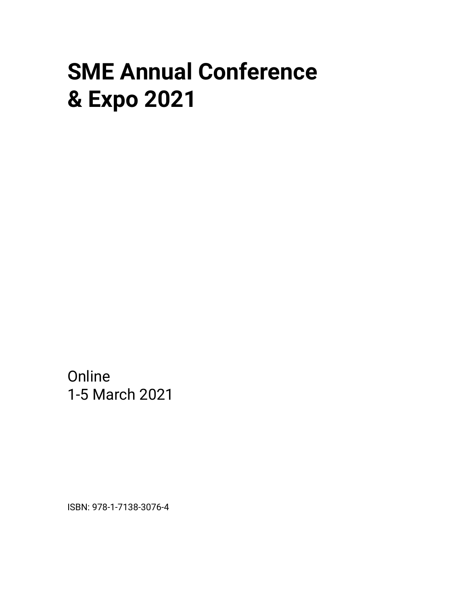## **SME Annual Conference & Expo 2021**

**Online** 1-5 March 2021

ISBN: 978-1-7138-3076-4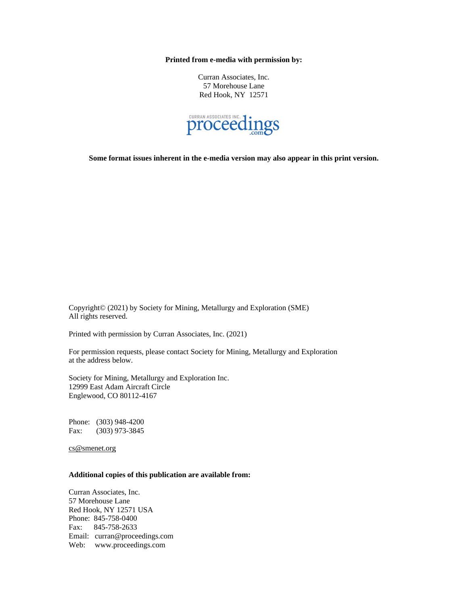**Printed from e-media with permission by:**

Curran Associates, Inc. 57 Morehouse Lane Red Hook, NY 12571



**Some format issues inherent in the e-media version may also appear in this print version.**

Copyright© (2021) by Society for Mining, Metallurgy and Exploration (SME) All rights reserved.

Printed with permission by Curran Associates, Inc. (2021)

For permission requests, please contact Society for Mining, Metallurgy and Exploration at the address below.

Society for Mining, Metallurgy and Exploration Inc. 12999 East Adam Aircraft Circle Englewood, CO 80112-4167

Phone: (303) 948-4200 Fax: (303) 973-3845

cs@smenet.org

## **Additional copies of this publication are available from:**

Curran Associates, Inc. 57 Morehouse Lane Red Hook, NY 12571 USA Phone: 845-758-0400 Fax: 845-758-2633 Email: curran@proceedings.com Web: www.proceedings.com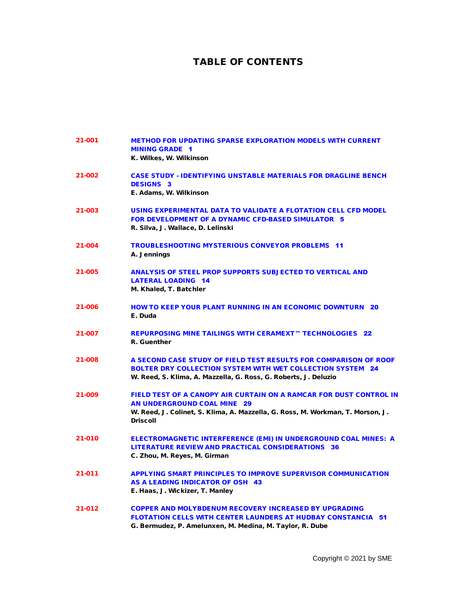## TABLE OF CONTENTS

| 21-001 | <b>METHOD FOR UPDATING SPARSE EXPLORATION MODELS WITH CURRENT</b><br><b>MINING GRADE 1</b><br>K. Wilkes, W. Wilkinson                                                                                         |
|--------|---------------------------------------------------------------------------------------------------------------------------------------------------------------------------------------------------------------|
| 21-002 | <b>CASE STUDY - IDENTIFYING UNSTABLE MATERIALS FOR DRAGLINE BENCH</b><br><b>DESIGNS 3</b><br>E. Adams, W. Wilkinson                                                                                           |
| 21-003 | USING EXPERIMENTAL DATA TO VALIDATE A FLOTATION CELL CFD MODEL<br><b>FOR DEVELOPMENT OF A DYNAMIC CFD-BASED SIMULATOR 5</b><br>R. Silva, J. Wallace, D. Lelinski                                              |
| 21-004 | <b>TROUBLESHOOTING MYSTERIOUS CONVEYOR PROBLEMS 11</b><br>A. Jennings                                                                                                                                         |
| 21-005 | <b>ANALYSIS OF STEEL PROP SUPPORTS SUBJECTED TO VERTICAL AND</b><br><b>LATERAL LOADING 14</b><br>M. Khaled, T. Batchler                                                                                       |
| 21-006 | <b>HOW TO KEEP YOUR PLANT RUNNING IN AN ECONOMIC DOWNTURN 20</b><br>E. Duda                                                                                                                                   |
| 21-007 | REPURPOSING MINE TAILINGS WITH CERAMEXT™ TECHNOLOGIES 22<br>R. Guenther                                                                                                                                       |
| 21-008 | A SECOND CASE STUDY OF FIELD TEST RESULTS FOR COMPARISON OF ROOF<br><b>BOLTER DRY COLLECTION SYSTEM WITH WET COLLECTION SYSTEM 24</b><br>W. Reed, S. Klima, A. Mazzella, G. Ross, G. Roberts, J. Deluzio      |
| 21-009 | FIELD TEST OF A CANOPY AIR CURTAIN ON A RAMCAR FOR DUST CONTROL IN<br><b>AN UNDERGROUND COAL MINE 29</b><br>W. Reed, J. Colinet, S. Klima, A. Mazzella, G. Ross, M. Workman, T. Morson, J.<br><b>Driscoll</b> |
| 21-010 | <b>ELECTROMAGNETIC INTERFERENCE (EMI) IN UNDERGROUND COAL MINES: A</b><br><b>LITERATURE REVIEW AND PRACTICAL CONSIDERATIONS 36</b><br>C. Zhou, M. Reyes, M. Girman                                            |
| 21-011 | <b>APPLYING SMART PRINCIPLES TO IMPROVE SUPERVISOR COMMUNICATION</b><br>AS A LEADING INDICATOR OF OSH 43<br>E. Haas, J. Wickizer, T. Manley                                                                   |
| 21-012 | <b>COPPER AND MOLYBDENUM RECOVERY INCREASED BY UPGRADING</b><br><b>FLOTATION CELLS WITH CENTER LAUNDERS AT HUDBAY CONSTANCIA 51</b><br>G. Bermudez, P. Amelunxen, M. Medina, M. Taylor, R. Dube               |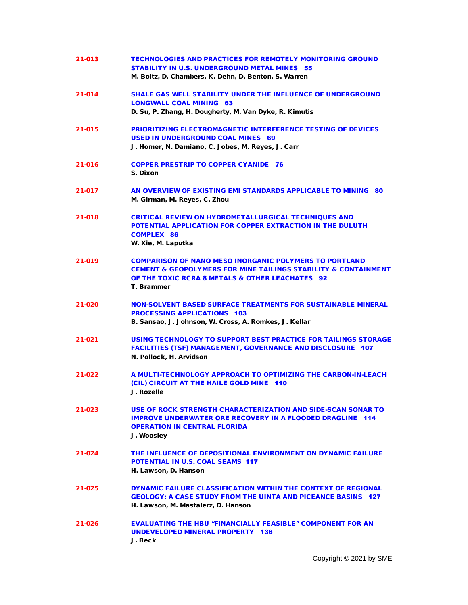| 21-013 | <b>TECHNOLOGIES AND PRACTICES FOR REMOTELY MONITORING GROUND</b><br><b>STABILITY IN U.S. UNDERGROUND METAL MINES 55</b><br>M. Boltz, D. Chambers, K. Dehn, D. Benton, S. Warren                                 |
|--------|-----------------------------------------------------------------------------------------------------------------------------------------------------------------------------------------------------------------|
| 21-014 | <b>SHALE GAS WELL STABILITY UNDER THE INFLUENCE OF UNDERGROUND</b><br><b>LONGWALL COAL MINING 63</b><br>D. Su, P. Zhang, H. Dougherty, M. Van Dyke, R. Kimutis                                                  |
| 21-015 | <b>PRIORITIZING ELECTROMAGNETIC INTERFERENCE TESTING OF DEVICES</b><br>USED IN UNDERGROUND COAL MINES 69<br>J. Homer, N. Damiano, C. Jobes, M. Reyes, J. Carr                                                   |
| 21-016 | <b>COPPER PRESTRIP TO COPPER CYANIDE 76</b><br>S. Dixon                                                                                                                                                         |
| 21-017 | AN OVERVIEW OF EXISTING EMI STANDARDS APPLICABLE TO MINING 80<br>M. Girman, M. Reyes, C. Zhou                                                                                                                   |
| 21-018 | <b>CRITICAL REVIEW ON HYDROMETALLURGICAL TECHNIQUES AND</b><br>POTENTIAL APPLICATION FOR COPPER EXTRACTION IN THE DULUTH<br><b>COMPLEX 86</b><br>W. Xie, M. Laputka                                             |
| 21-019 | <b>COMPARISON OF NANO MESO INORGANIC POLYMERS TO PORTLAND</b><br><b>CEMENT &amp; GEOPOLYMERS FOR MINE TAILINGS STABILITY &amp; CONTAINMENT</b><br>OF THE TOXIC RCRA 8 METALS & OTHER LEACHATES 92<br>T. Brammer |
| 21-020 | <b>NON-SOLVENT BASED SURFACE TREATMENTS FOR SUSTAINABLE MINERAL</b><br><b>PROCESSING APPLICATIONS 103</b><br>B. Sansao, J. Johnson, W. Cross, A. Romkes, J. Kellar                                              |
| 21-021 | USING TECHNOLOGY TO SUPPORT BEST PRACTICE FOR TAILINGS STORAGE<br><b>FACILITIES (TSF) MANAGEMENT, GOVERNANCE AND DISCLOSURE 107</b><br>N. Pollock, H. Arvidson                                                  |
| 21-022 | A MULTI-TECHNOLOGY APPROACH TO OPTIMIZING THE CARBON-IN-LEACH<br>(CIL) CIRCUIT AT THE HAILE GOLD MINE 110<br>J. Rozelle                                                                                         |
| 21-023 | USE OF ROCK STRENGTH CHARACTERIZATION AND SIDE-SCAN SONAR TO<br><b>IMPROVE UNDERWATER ORE RECOVERY IN A FLOODED DRAGLINE 114</b><br><b>OPERATION IN CENTRAL FLORIDA</b><br>J. Woosley                           |
| 21-024 | THE INFLUENCE OF DEPOSITIONAL ENVIRONMENT ON DYNAMIC FAILURE<br><b>POTENTIAL IN U.S. COAL SEAMS 117</b><br>H. Lawson, D. Hanson                                                                                 |
| 21-025 | DYNAMIC FAILURE CLASSIFICATION WITHIN THE CONTEXT OF REGIONAL<br><b>GEOLOGY: A CASE STUDY FROM THE UINTA AND PICEANCE BASINS 127</b><br>H. Lawson, M. Mastalerz, D. Hanson                                      |
| 21-026 | <b>EVALUATING THE HBU "FINANCIALLY FEASIBLE" COMPONENT FOR AN</b><br>UNDEVELOPED MINERAL PROPERTY 136<br>J. Beck                                                                                                |

Copyright © 2021 by SME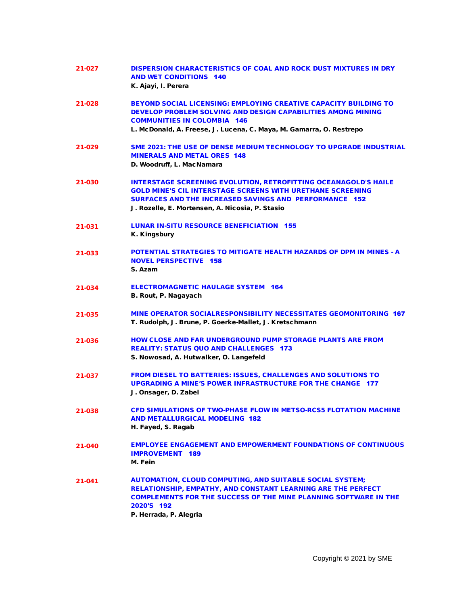| 21-027 | <b>DISPERSION CHARACTERISTICS OF COAL AND ROCK DUST MIXTURES IN DRY</b><br><b>AND WET CONDITIONS 140</b><br>K. Ajayi, I. Perera                                                                                                                                 |
|--------|-----------------------------------------------------------------------------------------------------------------------------------------------------------------------------------------------------------------------------------------------------------------|
| 21-028 | <b>BEYOND SOCIAL LICENSING: EMPLOYING CREATIVE CAPACITY BUILDING TO</b><br>DEVELOP PROBLEM SOLVING AND DESIGN CAPABILITIES AMONG MINING<br><b>COMMUNITIES IN COLOMBIA 146</b><br>L. McDonald, A. Freese, J. Lucena, C. Maya, M. Gamarra, O. Restrepo            |
| 21-029 | SME 2021: THE USE OF DENSE MEDIUM TECHNOLOGY TO UPGRADE INDUSTRIAL<br><b>MINERALS AND METAL ORES 148</b><br>D. Woodruff, L. MacNamara                                                                                                                           |
| 21-030 | <b>INTERSTAGE SCREENING EVOLUTION, RETROFITTING OCEANAGOLD'S HAILE</b><br><b>GOLD MINE'S CIL INTERSTAGE SCREENS WITH URETHANE SCREENING</b><br><b>SURFACES AND THE INCREASED SAVINGS AND PERFORMANCE 152</b><br>J. Rozelle, E. Mortensen, A. Nicosia, P. Stasio |
| 21-031 | <b>LUNAR IN-SITU RESOURCE BENEFICIATION 155</b><br>K. Kingsbury                                                                                                                                                                                                 |
| 21-033 | <b>POTENTIAL STRATEGIES TO MITIGATE HEALTH HAZARDS OF DPM IN MINES - A</b><br><b>NOVEL PERSPECTIVE 158</b><br>S. Azam                                                                                                                                           |
| 21-034 | <b>ELECTROMAGNETIC HAULAGE SYSTEM 164</b><br>B. Rout, P. Nagayach                                                                                                                                                                                               |
| 21-035 | MINE OPERATOR SOCIALRESPONSIBILITY NECESSITATES GEOMONITORING 167<br>T. Rudolph, J. Brune, P. Goerke-Mallet, J. Kretschmann                                                                                                                                     |
| 21-036 | <b>HOW CLOSE AND FAR UNDERGROUND PUMP STORAGE PLANTS ARE FROM</b><br><b>REALITY: STATUS QUO AND CHALLENGES 173</b><br>S. Nowosad, A. Hutwalker, O. Langefeld                                                                                                    |
| 21-037 | <b>FROM DIESEL TO BATTERIES: ISSUES, CHALLENGES AND SOLUTIONS TO</b><br><b>UPGRADING A MINE'S POWER INFRASTRUCTURE FOR THE CHANGE 177</b><br>J. Onsager, D. Zabel                                                                                               |
| 21-038 | CFD SIMULATIONS OF TWO-PHASE FLOW IN METSO-RCS5 FLOTATION MACHINE<br><b>AND METALLURGICAL MODELING 182</b><br>H. Fayed, S. Ragab                                                                                                                                |
| 21-040 | <b>EMPLOYEE ENGAGEMENT AND EMPOWERMENT FOUNDATIONS OF CONTINUOUS</b><br><b>IMPROVEMENT 189</b><br>M. Fein                                                                                                                                                       |
| 21-041 | <b>AUTOMATION, CLOUD COMPUTING, AND SUITABLE SOCIAL SYSTEM;</b><br>RELATIONSHIP, EMPATHY, AND CONSTANT LEARNING ARE THE PERFECT<br><b>COMPLEMENTS FOR THE SUCCESS OF THE MINE PLANNING SOFTWARE IN THE</b><br>2020'S 192<br>P. Herrada, P. Alegria              |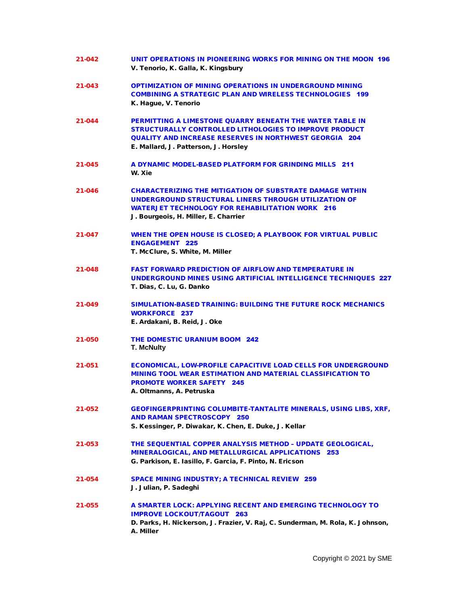| 21-042 | UNIT OPERATIONS IN PIONEERING WORKS FOR MINING ON THE MOON 196<br>V. Tenorio, K. Galla, K. Kingsbury                                                                                                                                      |
|--------|-------------------------------------------------------------------------------------------------------------------------------------------------------------------------------------------------------------------------------------------|
| 21-043 | <b>OPTIMIZATION OF MINING OPERATIONS IN UNDERGROUND MINING</b><br><b>COMBINING A STRATEGIC PLAN AND WIRELESS TECHNOLOGIES 199</b><br>K. Hague, V. Tenorio                                                                                 |
| 21-044 | <b>PERMITTING A LIMESTONE QUARRY BENEATH THE WATER TABLE IN</b><br><b>STRUCTURALLY CONTROLLED LITHOLOGIES TO IMPROVE PRODUCT</b><br><b>QUALITY AND INCREASE RESERVES IN NORTHWEST GEORGIA 204</b><br>E. Mallard, J. Patterson, J. Horsley |
| 21-045 | A DYNAMIC MODEL-BASED PLATFORM FOR GRINDING MILLS 211<br>W. Xie                                                                                                                                                                           |
| 21-046 | <b>CHARACTERIZING THE MITIGATION OF SUBSTRATE DAMAGE WITHIN</b><br>UNDERGROUND STRUCTURAL LINERS THROUGH UTILIZATION OF<br><b>WATERJET TECHNOLOGY FOR REHABILITATION WORK 216</b><br>J. Bourgeois, H. Miller, E. Charrier                 |
| 21-047 | WHEN THE OPEN HOUSE IS CLOSED; A PLAYBOOK FOR VIRTUAL PUBLIC<br><b>ENGAGEMENT 225</b><br>T. McClure, S. White, M. Miller                                                                                                                  |
| 21-048 | <b>FAST FORWARD PREDICTION OF AIRFLOW AND TEMPERATURE IN</b><br>UNDERGROUND MINES USING ARTIFICIAL INTELLIGENCE TECHNIQUES 227<br>T. Dias, C. Lu, G. Danko                                                                                |
| 21-049 | <b>SIMULATION-BASED TRAINING: BUILDING THE FUTURE ROCK MECHANICS</b><br><b>WORKFORCE 237</b><br>E. Ardakani, B. Reid, J. Oke                                                                                                              |
| 21-050 | <b>THE DOMESTIC URANIUM BOOM 242</b><br><b>T. McNulty</b>                                                                                                                                                                                 |
| 21-051 | <b>ECONOMICAL, LOW-PROFILE CAPACITIVE LOAD CELLS FOR UNDERGROUND</b><br><b>MINING TOOL WEAR ESTIMATION AND MATERIAL CLASSIFICATION TO</b><br><b>PROMOTE WORKER SAFETY 245</b><br>A. Oltmanns, A. Petruska                                 |
| 21-052 | <b>GEOFINGERPRINTING COLUMBITE-TANTALITE MINERALS, USING LIBS, XRF,</b><br><b>AND RAMAN SPECTROSCOPY 250</b><br>S. Kessinger, P. Diwakar, K. Chen, E. Duke, J. Kellar                                                                     |
| 21-053 | THE SEQUENTIAL COPPER ANALYSIS METHOD - UPDATE GEOLOGICAL.<br>MINERALOGICAL, AND METALLURGICAL APPLICATIONS 253<br>G. Parkison, E. Iasillo, F. Garcia, F. Pinto, N. Ericson                                                               |
| 21-054 | <b>SPACE MINING INDUSTRY; A TECHNICAL REVIEW 259</b><br>J. Julian, P. Sadeghi                                                                                                                                                             |
| 21-055 | A SMARTER LOCK: APPLYING RECENT AND EMERGING TECHNOLOGY TO<br><b>IMPROVE LOCKOUT/TAGOUT 263</b><br>D. Parks, H. Nickerson, J. Frazier, V. Raj, C. Sunderman, M. Rola, K. Johnson,<br>A. Miller                                            |